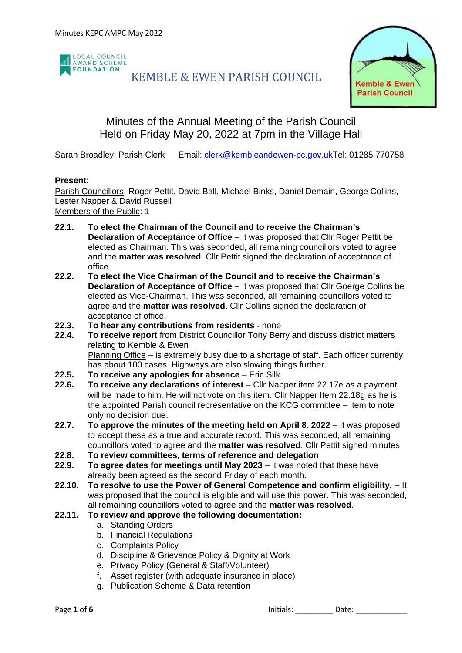

## KEMBLE & EWEN PARISH COUNCIL



## Minutes of the Annual Meeting of the Parish Council Held on Friday May 20, 2022 at 7pm in the Village Hall

Sarah Broadley, Parish Clerk Email: [clerk@kembleandewen-pc.gov.ukT](mailto:clerk@kembleandewen-pc.gov.uk)el: 01285 770758

#### **Present**:

Parish Councillors: Roger Pettit, David Ball, Michael Binks, Daniel Demain, George Collins, Lester Napper & David Russell

Members of the Public: 1

- **22.1. To elect the Chairman of the Council and to receive the Chairman's Declaration of Acceptance of Office** – It was proposed that Cllr Roger Pettit be elected as Chairman. This was seconded, all remaining councillors voted to agree and the **matter was resolved**. Cllr Pettit signed the declaration of acceptance of office.
- **22.2. To elect the Vice Chairman of the Council and to receive the Chairman's Declaration of Acceptance of Office** – It was proposed that Cllr Goerge Collins be elected as Vice-Chairman. This was seconded, all remaining councillors voted to agree and the **matter was resolved**. Cllr Collins signed the declaration of acceptance of office.
- **22.3. To hear any contributions from residents** none
- **22.4. To receive report** from District Councillor Tony Berry and discuss district matters relating to Kemble & Ewen Planning Office – is extremely busy due to a shortage of staff. Each officer currently has about 100 cases. Highways are also slowing things further.
- **22.5. To receive any apologies for absence** Eric Silk
- **22.6. To receive any declarations of interest** Cllr Napper item 22.17e as a payment will be made to him. He will not vote on this item. Cllr Napper Item 22.18g as he is the appointed Parish council representative on the KCG committee – item to note only no decision due.
- **22.7. To approve the minutes of the meeting held on April 8. 2022** It was proposed to accept these as a true and accurate record. This was seconded, all remaining councillors voted to agree and the **matter was resolved**. Cllr Pettit signed minutes
- **22.8. To review committees, terms of reference and delegation**
- **22.9. To agree dates for meetings until May 2023** it was noted that these have already been agreed as the second Friday of each month.
- **22.10. To resolve to use the Power of General Competence and confirm eligibility.** It was proposed that the council is eligible and will use this power. This was seconded, all remaining councillors voted to agree and the **matter was resolved**.
- **22.11. To review and approve the following documentation:**
	- a. Standing Orders
	- b. Financial Regulations
	- c. Complaints Policy
	- d. Discipline & Grievance Policy & Dignity at Work
	- e. Privacy Policy (General & Staff/Volunteer)
	- f. Asset register (with adequate insurance in place)
	- g. Publication Scheme & Data retention

Page 1 of 6 **Date:**  $\overline{a}$  Date:  $\overline{b}$  Date:  $\overline{b}$  Date: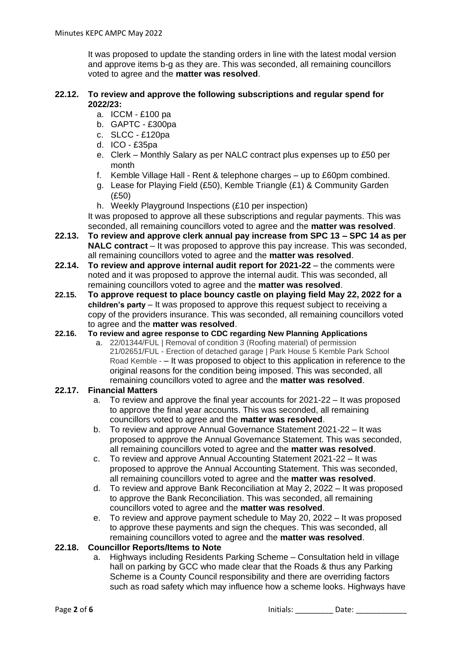It was proposed to update the standing orders in line with the latest modal version and approve items b-g as they are. This was seconded, all remaining councillors voted to agree and the **matter was resolved**.

#### **22.12. To review and approve the following subscriptions and regular spend for 2022/23:**

- a. ICCM £100 pa
- b. GAPTC £300pa
- c. SLCC £120pa
- d. ICO £35pa
- e. Clerk Monthly Salary as per NALC contract plus expenses up to £50 per month
- f. Kemble Village Hall Rent & telephone charges up to £60pm combined.
- g. Lease for Playing Field (£50), Kemble Triangle (£1) & Community Garden (£50)
- h. Weekly Playground Inspections (£10 per inspection)

It was proposed to approve all these subscriptions and regular payments. This was seconded, all remaining councillors voted to agree and the **matter was resolved**.

- **22.13. To review and approve clerk annual pay increase from SPC 13 – SPC 14 as per NALC contract** – It was proposed to approve this pay increase. This was seconded, all remaining councillors voted to agree and the **matter was resolved**.
- **22.14. To review and approve internal audit report for 2021-22** the comments were noted and it was proposed to approve the internal audit. This was seconded, all remaining councillors voted to agree and the **matter was resolved**.
- **22.15. To approve request to place bouncy castle on playing field May 22, 2022 for a children's party** – It was proposed to approve this request subject to receiving a copy of the providers insurance. This was seconded, all remaining councillors voted to agree and the **matter was resolved**.
- **22.16. To review and agree response to CDC regarding New Planning Applications**
	- a. 22/01344/FUL | Removal of condition 3 (Roofing material) of permission 21/02651/FUL - Erection of detached garage | Park House 5 Kemble Park School Road Kemble - – It was proposed to object to this application in reference to the original reasons for the condition being imposed. This was seconded, all remaining councillors voted to agree and the **matter was resolved**.

#### **22.17. Financial Matters**

- a. To review and approve the final year accounts for 2021-22 It was proposed to approve the final year accounts. This was seconded, all remaining councillors voted to agree and the **matter was resolved**.
- b. To review and approve Annual Governance Statement 2021-22 It was proposed to approve the Annual Governance Statement. This was seconded, all remaining councillors voted to agree and the **matter was resolved**.
- c. To review and approve Annual Accounting Statement 2021-22 It was proposed to approve the Annual Accounting Statement. This was seconded, all remaining councillors voted to agree and the **matter was resolved**.
- d. To review and approve Bank Reconciliation at May 2, 2022 It was proposed to approve the Bank Reconciliation. This was seconded, all remaining councillors voted to agree and the **matter was resolved**.
- e. To review and approve payment schedule to May 20, 2022 It was proposed to approve these payments and sign the cheques. This was seconded, all remaining councillors voted to agree and the **matter was resolved**.

#### **22.18. Councillor Reports/Items to Note**

a. Highways including Residents Parking Scheme – Consultation held in village hall on parking by GCC who made clear that the Roads & thus any Parking Scheme is a County Council responsibility and there are overriding factors such as road safety which may influence how a scheme looks. Highways have

Page 2 of 6 **Initials: Date: Date: Date: Date: Date: Date: Date: Date: Date: Date: Date: Date: Date: Date: Date: Date: Date: Date: Date: Date: Date: Date: Date: Date: Date:**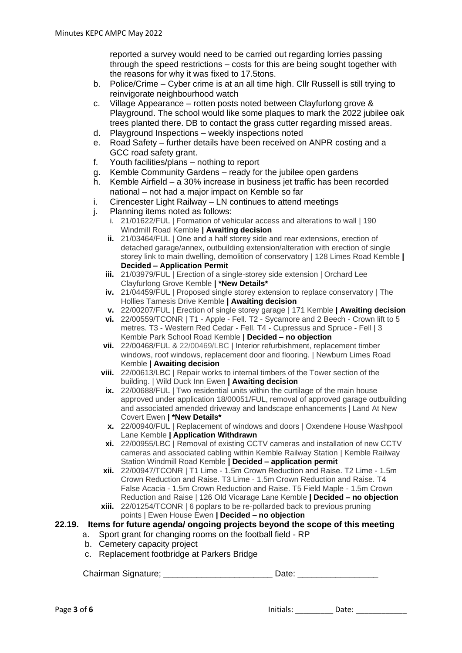reported a survey would need to be carried out regarding lorries passing through the speed restrictions – costs for this are being sought together with the reasons for why it was fixed to 17.5tons.

- b. Police/Crime Cyber crime is at an all time high. Cllr Russell is still trying to reinvigorate neighbourhood watch
- c. Village Appearance rotten posts noted between Clayfurlong grove & Playground. The school would like some plaques to mark the 2022 jubilee oak trees planted there. DB to contact the grass cutter regarding missed areas.
- d. Playground Inspections weekly inspections noted
- e. Road Safety further details have been received on ANPR costing and a GCC road safety grant.
- f. Youth facilities/plans nothing to report
- g. Kemble Community Gardens ready for the jubilee open gardens
- h. Kemble Airfield a 30% increase in business jet traffic has been recorded national – not had a major impact on Kemble so far
- i. Cirencester Light Railway LN continues to attend meetings
- j. Planning items noted as follows:
	- i. 21/01622/FUL | Formation of vehicular access and alterations to wall | 190 Windmill Road Kemble **| Awaiting decision**
	- **ii.** 21/03464/FUL | One and a half storey side and rear extensions, erection of detached garage/annex, outbuilding extension/alteration with erection of single storey link to main dwelling, demolition of conservatory | 128 Limes Road Kemble **| Decided – Application Permit**
	- **iii.** 21/03979/FUL | Erection of a single-storey side extension | Orchard Lee Clayfurlong Grove Kemble **| \*New Details\***
	- **iv.** 21/04459/FUL | Proposed single storey extension to replace conservatory | The Hollies Tamesis Drive Kemble **| Awaiting decision**
	- **v.** 22/00207/FUL | Erection of single storey garage | 171 Kemble **| Awaiting decision**
	- **vi.** 22/00559/TCONR | T1 Apple Fell. T2 Sycamore and 2 Beech Crown lift to 5 metres. T3 - Western Red Cedar - Fell. T4 - Cupressus and Spruce - Fell | 3 Kemble Park School Road Kemble **| Decided – no objection**
	- **vii.** 22/00468/FUL & 22/00469/LBC | Interior refurbishment, replacement timber windows, roof windows, replacement door and flooring. | Newburn Limes Road Kemble **| Awaiting decision**
	- **viii.** 22/00613/LBC | Repair works to internal timbers of the Tower section of the building. | Wild Duck Inn Ewen **| Awaiting decision**
	- **ix.** 22/00688/FUL | Two residential units within the curtilage of the main house approved under application 18/00051/FUL, removal of approved garage outbuilding and associated amended driveway and landscape enhancements | Land At New Covert Ewen **| \*New Details\***
	- **x.** 22/00940/FUL | Replacement of windows and doors | Oxendene House Washpool Lane Kemble **| Application Withdrawn**
	- **xi.** 22/00955/LBC | Removal of existing CCTV cameras and installation of new CCTV cameras and associated cabling within Kemble Railway Station | Kemble Railway Station Windmill Road Kemble **| Decided – application permit**
	- **xii.** 22/00947/TCONR | T1 Lime 1.5m Crown Reduction and Raise. T2 Lime 1.5m Crown Reduction and Raise. T3 Lime - 1.5m Crown Reduction and Raise. T4 False Acacia - 1.5m Crown Reduction and Raise. T5 Field Maple - 1.5m Crown Reduction and Raise | 126 Old Vicarage Lane Kemble **| Decided – no objection**
	- **xiii.** 22/01254/TCONR | 6 poplars to be re-pollarded back to previous pruning points | Ewen House Ewen **| Decided – no objection**

#### **22.19. Items for future agenda/ ongoing projects beyond the scope of this meeting**

- a. Sport grant for changing rooms on the football field RP
- b. Cemetery capacity project
- c. Replacement footbridge at Parkers Bridge

Chairman Signature: etc. and the Date: chairman Signature: etc. and the Date:

Page **3** of **6 11.12 and 12.12 and 12.12 and 12.12 and 13.12 and 13.12 and 13.12 and 13.12 and 13.12 and 13.12 and 13.12 and 13.12 and 13.12 and 13.12 and 13.12 and 13.12 and 13.12 and 13.12 and 13.12 and 13.12 and 13.12**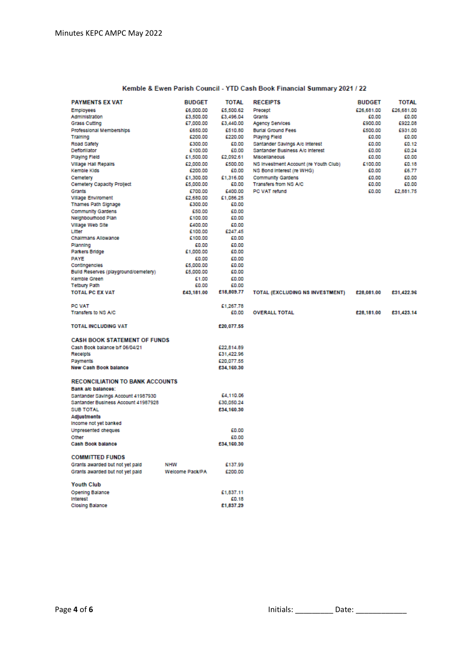| Kemble & Ewen Parish Council - YTD Cash Book Financial Summary 2021 / 22 |  |  |
|--------------------------------------------------------------------------|--|--|
|                                                                          |  |  |

| £6,000.00<br>£5,500.62<br>£26,681.00<br>£26,681.00<br>Precept<br><b>Employees</b><br>Administration<br>£3,500.00<br>£3,496.04<br>Grants<br>£0.00<br>60.00<br>£922.08<br>£900.00<br>Grass Cutting<br>£7,000.00<br>£3,440.00<br>Agency Services<br>£931.00<br>Professional Memberships<br>£650.00<br>£510.80<br><b>Burlal Ground Fees</b><br>£500.00<br>£200.00<br>£220.00<br>Playing Field<br>£0.00<br>£0.00<br>Training<br>£300.00<br>£0.00<br>Santander Savings A/c Interest<br>£0.00<br>£0.12<br>Road Safety<br>£0.00<br>Defibiliator<br>£100.00<br>Santander Business A/c Interest<br>£0.00<br>£0.24<br>£2,092.61<br><b>Miscellaneous</b><br>£0.00<br>£0.00<br>Playing Field<br>£1,500.00<br>£500.00<br>NS Investment Account (re Youth Club)<br>£0.18<br><b>Village Hall Repairs</b><br>£2,000.00<br>£100.00<br>Kemble Kids<br>£200.00<br>£0.00<br>NS Bond Interest (re WHG)<br>£0.00<br>56.77<br>£1,300.00<br>£1,316.00<br><b>Community Gardens</b><br>£0.00<br>£0.00<br>Cemetery<br>Cemetery Capacity Prollect<br>£5,000.00<br>£0.00<br>Transfers from NS A/C<br>£0.00<br>£0.00<br>£700.00<br>£400.00<br>PC VAT retund<br>£0.00<br>£2,881.75<br>Grants<br><b>Village Enviroment</b><br>£2,680.00<br>£1,086.25<br>Thames Path Signage<br>£300.00<br>£0.00<br><b>Community Gardens</b><br>£50.00<br>£0.00<br>Neighbourhood Plan<br>£100.00<br>£0.00<br>Village Web Site<br>£400.00<br>£0.00<br>£247.45<br>Litter<br>£100.00<br>Chairmans Allowance<br>£100.00<br>£0.00<br>£0.00<br>£0.00<br>Planning<br>Parkers Bridge<br>£1,000.00<br>£0.00<br>PAYE<br>£0.00<br>£0.00<br>£0.00<br>£5,000.00<br>Contingencies<br>Build Reserves (playground/cemetery)<br>£5,000.00<br>£0.00<br>£0.00<br>Kemble Green<br>£1.00<br>£0.00<br><b>Tetbury Path</b><br>£0.00<br>£18,809.77<br><b>TOTAL PC EX VAT</b><br>£43.181.00<br><b>TOTAL (EXCLUDING NS INVESTMENT)</b><br>£28,081.00<br>£31,422.96<br><b>PC VAT</b><br>£1,267.78<br>Transfers to NS A/C<br>£0.00<br><b>OVERALL TOTAL</b><br>£28,181.00<br>£31,423.14<br><b>TOTAL INCLUDING VAT</b><br>£20,077.55<br><b>CASH BOOK STATEMENT OF FUNDS</b><br>Cash Book balance b/f 06/04/21<br>£22,814.89<br>Receipts<br>£31,422.96<br>Payments<br>£20,077.55<br><b>New Cash Book balance</b><br>£34,160.30<br><b>RECONCILIATION TO BANK ACCOUNTS</b><br>Bank a/c balances:<br>£4,110.06<br>Santander Savings Account 41987930<br>Santander Business Account 41987928<br>£30,050.24<br><b>SUB TOTAL</b><br>£34,160.30<br>Adjustments<br>Income not yet banked<br>£0.00<br><b>Unpresented cheques</b><br>£0.00<br>Other<br>Cash Book balance<br>£34,160.30<br><b>COMMITTED FUNDS</b> |
|-----------------------------------------------------------------------------------------------------------------------------------------------------------------------------------------------------------------------------------------------------------------------------------------------------------------------------------------------------------------------------------------------------------------------------------------------------------------------------------------------------------------------------------------------------------------------------------------------------------------------------------------------------------------------------------------------------------------------------------------------------------------------------------------------------------------------------------------------------------------------------------------------------------------------------------------------------------------------------------------------------------------------------------------------------------------------------------------------------------------------------------------------------------------------------------------------------------------------------------------------------------------------------------------------------------------------------------------------------------------------------------------------------------------------------------------------------------------------------------------------------------------------------------------------------------------------------------------------------------------------------------------------------------------------------------------------------------------------------------------------------------------------------------------------------------------------------------------------------------------------------------------------------------------------------------------------------------------------------------------------------------------------------------------------------------------------------------------------------------------------------------------------------------------------------------------------------------------------------------------------------------------------------------------------------------------------------------------------------------------------------------------------------------------------------------------------------------------------------------------------------------------------------------------------------------------------------------------------------------------------|
|                                                                                                                                                                                                                                                                                                                                                                                                                                                                                                                                                                                                                                                                                                                                                                                                                                                                                                                                                                                                                                                                                                                                                                                                                                                                                                                                                                                                                                                                                                                                                                                                                                                                                                                                                                                                                                                                                                                                                                                                                                                                                                                                                                                                                                                                                                                                                                                                                                                                                                                                                                                                                       |
|                                                                                                                                                                                                                                                                                                                                                                                                                                                                                                                                                                                                                                                                                                                                                                                                                                                                                                                                                                                                                                                                                                                                                                                                                                                                                                                                                                                                                                                                                                                                                                                                                                                                                                                                                                                                                                                                                                                                                                                                                                                                                                                                                                                                                                                                                                                                                                                                                                                                                                                                                                                                                       |
|                                                                                                                                                                                                                                                                                                                                                                                                                                                                                                                                                                                                                                                                                                                                                                                                                                                                                                                                                                                                                                                                                                                                                                                                                                                                                                                                                                                                                                                                                                                                                                                                                                                                                                                                                                                                                                                                                                                                                                                                                                                                                                                                                                                                                                                                                                                                                                                                                                                                                                                                                                                                                       |
|                                                                                                                                                                                                                                                                                                                                                                                                                                                                                                                                                                                                                                                                                                                                                                                                                                                                                                                                                                                                                                                                                                                                                                                                                                                                                                                                                                                                                                                                                                                                                                                                                                                                                                                                                                                                                                                                                                                                                                                                                                                                                                                                                                                                                                                                                                                                                                                                                                                                                                                                                                                                                       |
|                                                                                                                                                                                                                                                                                                                                                                                                                                                                                                                                                                                                                                                                                                                                                                                                                                                                                                                                                                                                                                                                                                                                                                                                                                                                                                                                                                                                                                                                                                                                                                                                                                                                                                                                                                                                                                                                                                                                                                                                                                                                                                                                                                                                                                                                                                                                                                                                                                                                                                                                                                                                                       |
|                                                                                                                                                                                                                                                                                                                                                                                                                                                                                                                                                                                                                                                                                                                                                                                                                                                                                                                                                                                                                                                                                                                                                                                                                                                                                                                                                                                                                                                                                                                                                                                                                                                                                                                                                                                                                                                                                                                                                                                                                                                                                                                                                                                                                                                                                                                                                                                                                                                                                                                                                                                                                       |
|                                                                                                                                                                                                                                                                                                                                                                                                                                                                                                                                                                                                                                                                                                                                                                                                                                                                                                                                                                                                                                                                                                                                                                                                                                                                                                                                                                                                                                                                                                                                                                                                                                                                                                                                                                                                                                                                                                                                                                                                                                                                                                                                                                                                                                                                                                                                                                                                                                                                                                                                                                                                                       |
|                                                                                                                                                                                                                                                                                                                                                                                                                                                                                                                                                                                                                                                                                                                                                                                                                                                                                                                                                                                                                                                                                                                                                                                                                                                                                                                                                                                                                                                                                                                                                                                                                                                                                                                                                                                                                                                                                                                                                                                                                                                                                                                                                                                                                                                                                                                                                                                                                                                                                                                                                                                                                       |
|                                                                                                                                                                                                                                                                                                                                                                                                                                                                                                                                                                                                                                                                                                                                                                                                                                                                                                                                                                                                                                                                                                                                                                                                                                                                                                                                                                                                                                                                                                                                                                                                                                                                                                                                                                                                                                                                                                                                                                                                                                                                                                                                                                                                                                                                                                                                                                                                                                                                                                                                                                                                                       |
|                                                                                                                                                                                                                                                                                                                                                                                                                                                                                                                                                                                                                                                                                                                                                                                                                                                                                                                                                                                                                                                                                                                                                                                                                                                                                                                                                                                                                                                                                                                                                                                                                                                                                                                                                                                                                                                                                                                                                                                                                                                                                                                                                                                                                                                                                                                                                                                                                                                                                                                                                                                                                       |
|                                                                                                                                                                                                                                                                                                                                                                                                                                                                                                                                                                                                                                                                                                                                                                                                                                                                                                                                                                                                                                                                                                                                                                                                                                                                                                                                                                                                                                                                                                                                                                                                                                                                                                                                                                                                                                                                                                                                                                                                                                                                                                                                                                                                                                                                                                                                                                                                                                                                                                                                                                                                                       |
|                                                                                                                                                                                                                                                                                                                                                                                                                                                                                                                                                                                                                                                                                                                                                                                                                                                                                                                                                                                                                                                                                                                                                                                                                                                                                                                                                                                                                                                                                                                                                                                                                                                                                                                                                                                                                                                                                                                                                                                                                                                                                                                                                                                                                                                                                                                                                                                                                                                                                                                                                                                                                       |
|                                                                                                                                                                                                                                                                                                                                                                                                                                                                                                                                                                                                                                                                                                                                                                                                                                                                                                                                                                                                                                                                                                                                                                                                                                                                                                                                                                                                                                                                                                                                                                                                                                                                                                                                                                                                                                                                                                                                                                                                                                                                                                                                                                                                                                                                                                                                                                                                                                                                                                                                                                                                                       |
|                                                                                                                                                                                                                                                                                                                                                                                                                                                                                                                                                                                                                                                                                                                                                                                                                                                                                                                                                                                                                                                                                                                                                                                                                                                                                                                                                                                                                                                                                                                                                                                                                                                                                                                                                                                                                                                                                                                                                                                                                                                                                                                                                                                                                                                                                                                                                                                                                                                                                                                                                                                                                       |
|                                                                                                                                                                                                                                                                                                                                                                                                                                                                                                                                                                                                                                                                                                                                                                                                                                                                                                                                                                                                                                                                                                                                                                                                                                                                                                                                                                                                                                                                                                                                                                                                                                                                                                                                                                                                                                                                                                                                                                                                                                                                                                                                                                                                                                                                                                                                                                                                                                                                                                                                                                                                                       |
|                                                                                                                                                                                                                                                                                                                                                                                                                                                                                                                                                                                                                                                                                                                                                                                                                                                                                                                                                                                                                                                                                                                                                                                                                                                                                                                                                                                                                                                                                                                                                                                                                                                                                                                                                                                                                                                                                                                                                                                                                                                                                                                                                                                                                                                                                                                                                                                                                                                                                                                                                                                                                       |
|                                                                                                                                                                                                                                                                                                                                                                                                                                                                                                                                                                                                                                                                                                                                                                                                                                                                                                                                                                                                                                                                                                                                                                                                                                                                                                                                                                                                                                                                                                                                                                                                                                                                                                                                                                                                                                                                                                                                                                                                                                                                                                                                                                                                                                                                                                                                                                                                                                                                                                                                                                                                                       |
|                                                                                                                                                                                                                                                                                                                                                                                                                                                                                                                                                                                                                                                                                                                                                                                                                                                                                                                                                                                                                                                                                                                                                                                                                                                                                                                                                                                                                                                                                                                                                                                                                                                                                                                                                                                                                                                                                                                                                                                                                                                                                                                                                                                                                                                                                                                                                                                                                                                                                                                                                                                                                       |
|                                                                                                                                                                                                                                                                                                                                                                                                                                                                                                                                                                                                                                                                                                                                                                                                                                                                                                                                                                                                                                                                                                                                                                                                                                                                                                                                                                                                                                                                                                                                                                                                                                                                                                                                                                                                                                                                                                                                                                                                                                                                                                                                                                                                                                                                                                                                                                                                                                                                                                                                                                                                                       |
|                                                                                                                                                                                                                                                                                                                                                                                                                                                                                                                                                                                                                                                                                                                                                                                                                                                                                                                                                                                                                                                                                                                                                                                                                                                                                                                                                                                                                                                                                                                                                                                                                                                                                                                                                                                                                                                                                                                                                                                                                                                                                                                                                                                                                                                                                                                                                                                                                                                                                                                                                                                                                       |
|                                                                                                                                                                                                                                                                                                                                                                                                                                                                                                                                                                                                                                                                                                                                                                                                                                                                                                                                                                                                                                                                                                                                                                                                                                                                                                                                                                                                                                                                                                                                                                                                                                                                                                                                                                                                                                                                                                                                                                                                                                                                                                                                                                                                                                                                                                                                                                                                                                                                                                                                                                                                                       |
|                                                                                                                                                                                                                                                                                                                                                                                                                                                                                                                                                                                                                                                                                                                                                                                                                                                                                                                                                                                                                                                                                                                                                                                                                                                                                                                                                                                                                                                                                                                                                                                                                                                                                                                                                                                                                                                                                                                                                                                                                                                                                                                                                                                                                                                                                                                                                                                                                                                                                                                                                                                                                       |
|                                                                                                                                                                                                                                                                                                                                                                                                                                                                                                                                                                                                                                                                                                                                                                                                                                                                                                                                                                                                                                                                                                                                                                                                                                                                                                                                                                                                                                                                                                                                                                                                                                                                                                                                                                                                                                                                                                                                                                                                                                                                                                                                                                                                                                                                                                                                                                                                                                                                                                                                                                                                                       |
|                                                                                                                                                                                                                                                                                                                                                                                                                                                                                                                                                                                                                                                                                                                                                                                                                                                                                                                                                                                                                                                                                                                                                                                                                                                                                                                                                                                                                                                                                                                                                                                                                                                                                                                                                                                                                                                                                                                                                                                                                                                                                                                                                                                                                                                                                                                                                                                                                                                                                                                                                                                                                       |
|                                                                                                                                                                                                                                                                                                                                                                                                                                                                                                                                                                                                                                                                                                                                                                                                                                                                                                                                                                                                                                                                                                                                                                                                                                                                                                                                                                                                                                                                                                                                                                                                                                                                                                                                                                                                                                                                                                                                                                                                                                                                                                                                                                                                                                                                                                                                                                                                                                                                                                                                                                                                                       |
|                                                                                                                                                                                                                                                                                                                                                                                                                                                                                                                                                                                                                                                                                                                                                                                                                                                                                                                                                                                                                                                                                                                                                                                                                                                                                                                                                                                                                                                                                                                                                                                                                                                                                                                                                                                                                                                                                                                                                                                                                                                                                                                                                                                                                                                                                                                                                                                                                                                                                                                                                                                                                       |
|                                                                                                                                                                                                                                                                                                                                                                                                                                                                                                                                                                                                                                                                                                                                                                                                                                                                                                                                                                                                                                                                                                                                                                                                                                                                                                                                                                                                                                                                                                                                                                                                                                                                                                                                                                                                                                                                                                                                                                                                                                                                                                                                                                                                                                                                                                                                                                                                                                                                                                                                                                                                                       |
|                                                                                                                                                                                                                                                                                                                                                                                                                                                                                                                                                                                                                                                                                                                                                                                                                                                                                                                                                                                                                                                                                                                                                                                                                                                                                                                                                                                                                                                                                                                                                                                                                                                                                                                                                                                                                                                                                                                                                                                                                                                                                                                                                                                                                                                                                                                                                                                                                                                                                                                                                                                                                       |
|                                                                                                                                                                                                                                                                                                                                                                                                                                                                                                                                                                                                                                                                                                                                                                                                                                                                                                                                                                                                                                                                                                                                                                                                                                                                                                                                                                                                                                                                                                                                                                                                                                                                                                                                                                                                                                                                                                                                                                                                                                                                                                                                                                                                                                                                                                                                                                                                                                                                                                                                                                                                                       |
|                                                                                                                                                                                                                                                                                                                                                                                                                                                                                                                                                                                                                                                                                                                                                                                                                                                                                                                                                                                                                                                                                                                                                                                                                                                                                                                                                                                                                                                                                                                                                                                                                                                                                                                                                                                                                                                                                                                                                                                                                                                                                                                                                                                                                                                                                                                                                                                                                                                                                                                                                                                                                       |
|                                                                                                                                                                                                                                                                                                                                                                                                                                                                                                                                                                                                                                                                                                                                                                                                                                                                                                                                                                                                                                                                                                                                                                                                                                                                                                                                                                                                                                                                                                                                                                                                                                                                                                                                                                                                                                                                                                                                                                                                                                                                                                                                                                                                                                                                                                                                                                                                                                                                                                                                                                                                                       |
|                                                                                                                                                                                                                                                                                                                                                                                                                                                                                                                                                                                                                                                                                                                                                                                                                                                                                                                                                                                                                                                                                                                                                                                                                                                                                                                                                                                                                                                                                                                                                                                                                                                                                                                                                                                                                                                                                                                                                                                                                                                                                                                                                                                                                                                                                                                                                                                                                                                                                                                                                                                                                       |
|                                                                                                                                                                                                                                                                                                                                                                                                                                                                                                                                                                                                                                                                                                                                                                                                                                                                                                                                                                                                                                                                                                                                                                                                                                                                                                                                                                                                                                                                                                                                                                                                                                                                                                                                                                                                                                                                                                                                                                                                                                                                                                                                                                                                                                                                                                                                                                                                                                                                                                                                                                                                                       |
|                                                                                                                                                                                                                                                                                                                                                                                                                                                                                                                                                                                                                                                                                                                                                                                                                                                                                                                                                                                                                                                                                                                                                                                                                                                                                                                                                                                                                                                                                                                                                                                                                                                                                                                                                                                                                                                                                                                                                                                                                                                                                                                                                                                                                                                                                                                                                                                                                                                                                                                                                                                                                       |
|                                                                                                                                                                                                                                                                                                                                                                                                                                                                                                                                                                                                                                                                                                                                                                                                                                                                                                                                                                                                                                                                                                                                                                                                                                                                                                                                                                                                                                                                                                                                                                                                                                                                                                                                                                                                                                                                                                                                                                                                                                                                                                                                                                                                                                                                                                                                                                                                                                                                                                                                                                                                                       |
|                                                                                                                                                                                                                                                                                                                                                                                                                                                                                                                                                                                                                                                                                                                                                                                                                                                                                                                                                                                                                                                                                                                                                                                                                                                                                                                                                                                                                                                                                                                                                                                                                                                                                                                                                                                                                                                                                                                                                                                                                                                                                                                                                                                                                                                                                                                                                                                                                                                                                                                                                                                                                       |
|                                                                                                                                                                                                                                                                                                                                                                                                                                                                                                                                                                                                                                                                                                                                                                                                                                                                                                                                                                                                                                                                                                                                                                                                                                                                                                                                                                                                                                                                                                                                                                                                                                                                                                                                                                                                                                                                                                                                                                                                                                                                                                                                                                                                                                                                                                                                                                                                                                                                                                                                                                                                                       |
|                                                                                                                                                                                                                                                                                                                                                                                                                                                                                                                                                                                                                                                                                                                                                                                                                                                                                                                                                                                                                                                                                                                                                                                                                                                                                                                                                                                                                                                                                                                                                                                                                                                                                                                                                                                                                                                                                                                                                                                                                                                                                                                                                                                                                                                                                                                                                                                                                                                                                                                                                                                                                       |
|                                                                                                                                                                                                                                                                                                                                                                                                                                                                                                                                                                                                                                                                                                                                                                                                                                                                                                                                                                                                                                                                                                                                                                                                                                                                                                                                                                                                                                                                                                                                                                                                                                                                                                                                                                                                                                                                                                                                                                                                                                                                                                                                                                                                                                                                                                                                                                                                                                                                                                                                                                                                                       |
|                                                                                                                                                                                                                                                                                                                                                                                                                                                                                                                                                                                                                                                                                                                                                                                                                                                                                                                                                                                                                                                                                                                                                                                                                                                                                                                                                                                                                                                                                                                                                                                                                                                                                                                                                                                                                                                                                                                                                                                                                                                                                                                                                                                                                                                                                                                                                                                                                                                                                                                                                                                                                       |
|                                                                                                                                                                                                                                                                                                                                                                                                                                                                                                                                                                                                                                                                                                                                                                                                                                                                                                                                                                                                                                                                                                                                                                                                                                                                                                                                                                                                                                                                                                                                                                                                                                                                                                                                                                                                                                                                                                                                                                                                                                                                                                                                                                                                                                                                                                                                                                                                                                                                                                                                                                                                                       |
|                                                                                                                                                                                                                                                                                                                                                                                                                                                                                                                                                                                                                                                                                                                                                                                                                                                                                                                                                                                                                                                                                                                                                                                                                                                                                                                                                                                                                                                                                                                                                                                                                                                                                                                                                                                                                                                                                                                                                                                                                                                                                                                                                                                                                                                                                                                                                                                                                                                                                                                                                                                                                       |
|                                                                                                                                                                                                                                                                                                                                                                                                                                                                                                                                                                                                                                                                                                                                                                                                                                                                                                                                                                                                                                                                                                                                                                                                                                                                                                                                                                                                                                                                                                                                                                                                                                                                                                                                                                                                                                                                                                                                                                                                                                                                                                                                                                                                                                                                                                                                                                                                                                                                                                                                                                                                                       |
|                                                                                                                                                                                                                                                                                                                                                                                                                                                                                                                                                                                                                                                                                                                                                                                                                                                                                                                                                                                                                                                                                                                                                                                                                                                                                                                                                                                                                                                                                                                                                                                                                                                                                                                                                                                                                                                                                                                                                                                                                                                                                                                                                                                                                                                                                                                                                                                                                                                                                                                                                                                                                       |
|                                                                                                                                                                                                                                                                                                                                                                                                                                                                                                                                                                                                                                                                                                                                                                                                                                                                                                                                                                                                                                                                                                                                                                                                                                                                                                                                                                                                                                                                                                                                                                                                                                                                                                                                                                                                                                                                                                                                                                                                                                                                                                                                                                                                                                                                                                                                                                                                                                                                                                                                                                                                                       |
|                                                                                                                                                                                                                                                                                                                                                                                                                                                                                                                                                                                                                                                                                                                                                                                                                                                                                                                                                                                                                                                                                                                                                                                                                                                                                                                                                                                                                                                                                                                                                                                                                                                                                                                                                                                                                                                                                                                                                                                                                                                                                                                                                                                                                                                                                                                                                                                                                                                                                                                                                                                                                       |
|                                                                                                                                                                                                                                                                                                                                                                                                                                                                                                                                                                                                                                                                                                                                                                                                                                                                                                                                                                                                                                                                                                                                                                                                                                                                                                                                                                                                                                                                                                                                                                                                                                                                                                                                                                                                                                                                                                                                                                                                                                                                                                                                                                                                                                                                                                                                                                                                                                                                                                                                                                                                                       |
|                                                                                                                                                                                                                                                                                                                                                                                                                                                                                                                                                                                                                                                                                                                                                                                                                                                                                                                                                                                                                                                                                                                                                                                                                                                                                                                                                                                                                                                                                                                                                                                                                                                                                                                                                                                                                                                                                                                                                                                                                                                                                                                                                                                                                                                                                                                                                                                                                                                                                                                                                                                                                       |
|                                                                                                                                                                                                                                                                                                                                                                                                                                                                                                                                                                                                                                                                                                                                                                                                                                                                                                                                                                                                                                                                                                                                                                                                                                                                                                                                                                                                                                                                                                                                                                                                                                                                                                                                                                                                                                                                                                                                                                                                                                                                                                                                                                                                                                                                                                                                                                                                                                                                                                                                                                                                                       |
|                                                                                                                                                                                                                                                                                                                                                                                                                                                                                                                                                                                                                                                                                                                                                                                                                                                                                                                                                                                                                                                                                                                                                                                                                                                                                                                                                                                                                                                                                                                                                                                                                                                                                                                                                                                                                                                                                                                                                                                                                                                                                                                                                                                                                                                                                                                                                                                                                                                                                                                                                                                                                       |
| Grants awarded but not yet paid<br><b>NHW</b><br>£137.99                                                                                                                                                                                                                                                                                                                                                                                                                                                                                                                                                                                                                                                                                                                                                                                                                                                                                                                                                                                                                                                                                                                                                                                                                                                                                                                                                                                                                                                                                                                                                                                                                                                                                                                                                                                                                                                                                                                                                                                                                                                                                                                                                                                                                                                                                                                                                                                                                                                                                                                                                              |
| £200.00<br>Grants awarded but not yet paid<br>Welcome Pack/PA                                                                                                                                                                                                                                                                                                                                                                                                                                                                                                                                                                                                                                                                                                                                                                                                                                                                                                                                                                                                                                                                                                                                                                                                                                                                                                                                                                                                                                                                                                                                                                                                                                                                                                                                                                                                                                                                                                                                                                                                                                                                                                                                                                                                                                                                                                                                                                                                                                                                                                                                                         |
|                                                                                                                                                                                                                                                                                                                                                                                                                                                                                                                                                                                                                                                                                                                                                                                                                                                                                                                                                                                                                                                                                                                                                                                                                                                                                                                                                                                                                                                                                                                                                                                                                                                                                                                                                                                                                                                                                                                                                                                                                                                                                                                                                                                                                                                                                                                                                                                                                                                                                                                                                                                                                       |
| <b>Youth Club</b>                                                                                                                                                                                                                                                                                                                                                                                                                                                                                                                                                                                                                                                                                                                                                                                                                                                                                                                                                                                                                                                                                                                                                                                                                                                                                                                                                                                                                                                                                                                                                                                                                                                                                                                                                                                                                                                                                                                                                                                                                                                                                                                                                                                                                                                                                                                                                                                                                                                                                                                                                                                                     |
| Opening Balance<br>£1,837.11                                                                                                                                                                                                                                                                                                                                                                                                                                                                                                                                                                                                                                                                                                                                                                                                                                                                                                                                                                                                                                                                                                                                                                                                                                                                                                                                                                                                                                                                                                                                                                                                                                                                                                                                                                                                                                                                                                                                                                                                                                                                                                                                                                                                                                                                                                                                                                                                                                                                                                                                                                                          |
| Interest<br>£0.18                                                                                                                                                                                                                                                                                                                                                                                                                                                                                                                                                                                                                                                                                                                                                                                                                                                                                                                                                                                                                                                                                                                                                                                                                                                                                                                                                                                                                                                                                                                                                                                                                                                                                                                                                                                                                                                                                                                                                                                                                                                                                                                                                                                                                                                                                                                                                                                                                                                                                                                                                                                                     |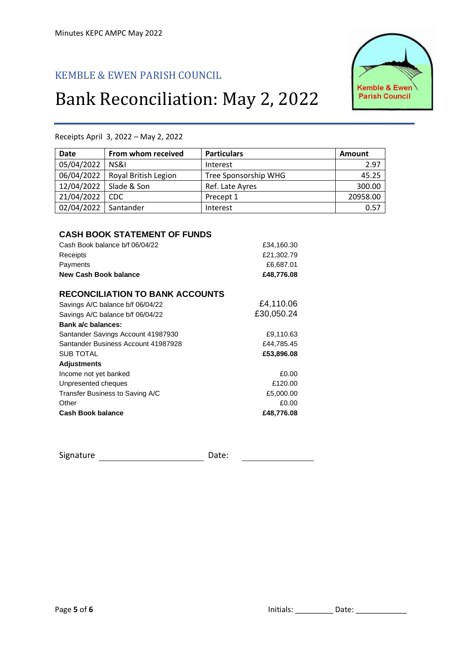## KEMBLE & EWEN PARISH COUNCIL

# Bank Reconciliation: May 2, 2022



| <b>Date</b>                                           | From whom received                                                    | <b>Particulars</b>                                  | <b>Amount</b> |
|-------------------------------------------------------|-----------------------------------------------------------------------|-----------------------------------------------------|---------------|
| 05/04/2022                                            | NS&I                                                                  | Interest                                            | 2.97          |
| 06/04/2022                                            | Royal British Legion                                                  | Tree Sponsorship WHG                                | 45.25         |
| 12/04/2022                                            | Slade & Son                                                           | Ref. Late Ayres                                     | 300.00        |
| 21/04/2022                                            | <b>CDC</b>                                                            | Precept 1                                           | 20958.00      |
| 02/04/2022                                            | Santander                                                             | Interest                                            | 0.57          |
| Receipts<br>Payments<br><b>New Cash Book balance</b>  | <b>CASH BOOK STATEMENT OF FUNDS</b><br>Cash Book balance b/f 06/04/22 | £34,160.30<br>£21,302.79<br>£6,687.01<br>£48,776.08 |               |
|                                                       | <b>RECONCILIATION TO BANK ACCOUNTS</b>                                |                                                     |               |
| Bank a/c balances:                                    | Savings A/C balance b/f 06/04/22<br>Savings A/C balance b/f 06/04/22  | £4,110.06<br>£30,050.24                             |               |
|                                                       | Santander Savings Account 41987930                                    | £9,110.63                                           |               |
| <b>SUB TOTAL</b>                                      | Santander Business Account 41987928                                   | £44,785.45<br>£53,896.08                            |               |
| <b>Adjustments</b>                                    |                                                                       |                                                     |               |
| Income not yet banked<br>Unpresented cheques<br>Other | Transfer Business to Saving A/C                                       | £0.00<br>£120.00<br>£5,000.00<br>£0.00              |               |
| <b>Cash Book balance</b>                              |                                                                       | £48,776.08                                          |               |

Receipts April 3, 2022 – May 2, 2022

Signature Date: $\begin{array}{c} \begin{array}{c} \begin{array}{c} \begin{array}{c} \end{array} \\ \begin{array}{c} \end{array} \end{array} & \begin{array}{c} \begin{array}{c} \end{array} \\ \begin{array}{c} \end{array} \end{array} & \begin{array}{c} \end{array} \end{array} \end{array} \end{array}$